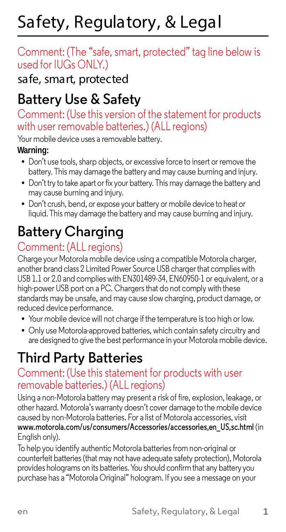# Safety, Regulatory, & Legal

#### Comment: (The "safe, smart, protected" tag line below is used for IUGs ONLY.)

safe, smart, protected

# **Battery Use & Safety**

#### Comment: (Use this version of the statement for products with user removable batteries.) (ALL regions)

Your mobile device uses a removable battery.

#### **Warning:**

- Don't use tools, sharp objects, or excessive force to insert or remove the battery. This may damage the battery and may cause burning and injury.
- **•** Don't try to take apart or fix your battery. This may damage the battery and may cause burning and injury.
- **•** Don't crush, bend, or expose your battery or mobile device to heat or liquid. This may damage the battery and may cause burning and injury.

# **Battery Charging**

#### Comment: (ALL regions)

Charge your Motorola mobile device using a compatible Motorola charger, another brand class 2 Limited Power Source USB charger that complies with USB 1.1 or 2.0 and complies with EN301489-34, EN60950-1 or equivalent, or a high-power USB port on a PC. Chargers that do not comply with these standards may be unsafe, and may cause slow charging, product damage, or reduced device performance.

- **•** Your mobile device will not charge if the temperature is too high or low.
- **•** Only use Motorola-approved batteries, which contain safety circuitry and are designed to give the best performance in your Motorola mobile device.

# **Third Party Batteries**

# Comment: (Use this statement for products with user removable batteries.) (ALL regions)

Using a non-Motorola battery may present a risk of fire, explosion, leakage, or other hazard. Motorola's warranty doesn't cover damage to the mobile device caused by non-Motorola batteries. For a list of Motorola accessories, visit **[www.motorola.com/us/consumers/Accessories/accessories,en\\_US,sc.html](http://www.motorola.com/us/consumers/Accessories/accessories%2Cen_US%2Csc.html)** (in English only).

To help you identify authentic Motorola batteries from non-original or counterfeit batteries (that may not have adequate safety protection), Motorola provides holograms on its batteries. You should confirm that any battery you purchase has a "Motorola Original" hologram. If you see a message on your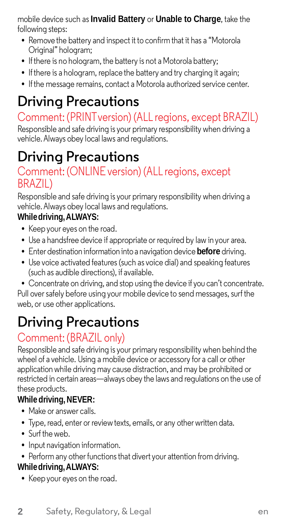mobile device such as**Invalid Battery** or **Unable to Charge**, take the following steps:

- **•** Remove the battery and inspect it to confirm that it has a "Motorola Original" hologram;
- **•** Ifthere is no hologram, the battery is not a Motorola battery;
- If there is a hologram, replace the battery and try charging it again;
- **•** Ifthe message remains, contact a Motorola authorized service center.

# **Driving Precautions**

# Comment: (PRINTversion) (ALL regions, except BRAZIL)

Responsible and safe driving is your primary responsibility when driving a vehicle.Always obey local laws and regulations.

# **Driving Precautions**

#### Comment: (ONLINE version) (ALL regions, except BRAZIL)

Responsible and safe driving is your primary responsibility when driving a vehicle.Always obey local laws and regulations.

#### **Whiledriving, ALWAYS:**

- **•** Keep your eyes on the road.
- **•** Use a handsfree device if appropriate or required by law in your area.
- **•** Enter destination information into a navigation device **before** driving.
- **•** Use voice activated features (such as voice dial) and speaking features (such as audible directions), if available.
- **•** Concentrate on driving, and stop using the device if you can't concentrate.

Pull over safely before using your mobile device to send messages, surf the web, or use other applications.

# **Driving Precautions**

#### Comment: (BRAZIL only)

Responsible and safe driving is your primary responsibility when behind the wheel of a vehicle. Using a mobile device or accessory for a call or other application while driving may cause distraction, and may be prohibited or restricted in certain areas—always obey the laws and regulations on the use of these products.

#### **While driving, NEVER:**

- **•** Make or answer calls.
- **•** Type, read, enter or review texts, emails, or any other written data.
- **•** Surf the web.
- **•** Input navigation information.
- Perform any other functions that divert your attention from driving.

#### **Whiledriving, ALWAYS:**

**•** Keep your eyes on the road.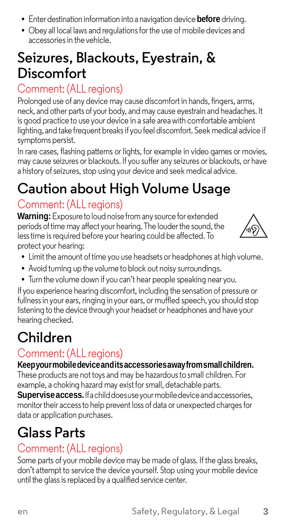- **•** Enter destination information into a navigation device **before** driving.
- **•** Obey all local laws and regulations for the use of mobile devices and accessories in the vehicle.

# **Seizures, Blackouts, Eyestrain, & Discomfort**

# Comment: (ALL regions)

Prolonged use of any device may cause discomfort in hands, fingers, arms, neck, and other parts of your body, and may cause eyestrain and headaches. It is good practice to use your device in a safe areawith comfortable ambient lighting, and take frequent breaksif you feel discomfort. Seek medical advice if symptoms persist.

In rare cases, flashing patterns or lights, for example in video games or movies, may cause seizures or blackouts. If you suffer any seizures or blackouts, or have a history of seizures, stop using your device and seek medical advice.

# **Caution about High Volume Usage**

#### Comment: (ALL regions)

**Warning:** Exposure to loud noise from any source for extended periods of time may affect your hearing. The louder the sound, the lesstime is required before your hearing could be affected. To protect your hearing:



- Limit the amount of time you use headsets or headphones at high volume.
- **•** Avoid turning up the volume to block out noisy surroundings.
- **•** Turn the volume down if you can't hear people speaking near you.

If you experience hearing discomfort, including the sensation of pressure or fullnessin your ears, ringing in your ears, or muffled speech, you should stop listening to the device through your headset or headphones and have your hearing checked.

# **Children**

#### Comment: (ALL regions)

**Keep yourmobile deviceanditsaccessoriesaway fromsmallchildren.** These products are not toys and may be hazardous to small children. For

example, a choking hazard may exist for small, detachable parts. **Supervise access.** If a child does use your mobile device and accessories,

monitor their access to help prevent loss of data or unexpected charges for data or application purchases.

# **Glass Parts**

#### Comment: (ALL regions)

Some parts of your mobile device may be made of glass. If the glass breaks, don't attempt to service the device yourself. Stop using your mobile device until the glass is replaced by a qualified service center.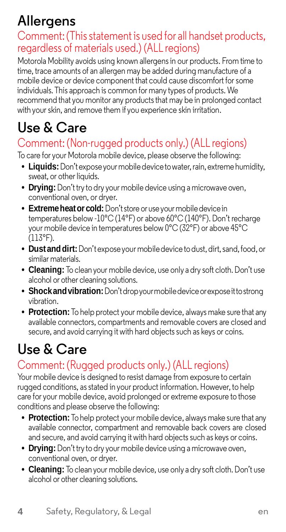# **Allergens**

# Comment:(Thisstatement is used for all handset products, regardless of materials used.) (ALL regions)

Motorola Mobility avoids using known allergensin our products. From time to time, trace amounts of an allergen may be added during manufacture of a mobile device or device component that could cause discomfort for some individuals. This approach is common for many types of products. We recommend that you monitor any productsthat may be in prolonged contact with your skin, and remove them if you experience skin irritation.

# **Use & Care**

### Comment: (Non-rugged products only.) (ALL regions)

To care for your Motorola mobile device, please observe the following:

- **• Liquids:**Don't expose yourmobile device to water, rain, extreme humidity, sweat, or other liquids.
- **• Drying:**Don't try to dry your mobile device using a microwave oven, conventional oven, or dryer.
- **• Extreme heat or cold:** Don't store or use your mobile device in temperatures below -10°C (14°F) or above 60°C (140°F). Don't recharge your mobile device in temperatures below 0°C (32°F) or above 45°C (113°F).
- **Dust and dirt:** Don't expose your mobile device to dust, dirt, sand, food, or similar materials.
- **• Cleaning:** To clean your mobile device, use only a dry soft cloth.Don't use alcohol or other cleaning solutions.
- **• Shockandvibration:**Don't drop your mobile device or expose it to strong vibration.
- **• Protection:** To help protect your mobile device, always make sure that any available connectors, compartments and removable covers are closed and secure, and avoid carrying it with hard objects such as keys or coins.

# **Use & Care**

### Comment: (Rugged products only.) (ALL regions)

Your mobile device is designed to resist damage from exposure to certain rugged conditions, as stated in your product information. However, to help care for your mobile device, avoid prolonged or extreme exposure to those conditions and please observe the following:

- **• Protection:** To help protect your mobile device, always make sure that any available connector, compartment and removable back covers are closed and secure, and avoid carrying it with hard objects such as keys or coins.
- **• Drying:**Don't try to dry your mobile device using a microwave oven, conventional oven, or dryer.
- **• Cleaning:** To clean your mobile device, use only a dry soft cloth.Don't use alcohol or other cleaning solutions.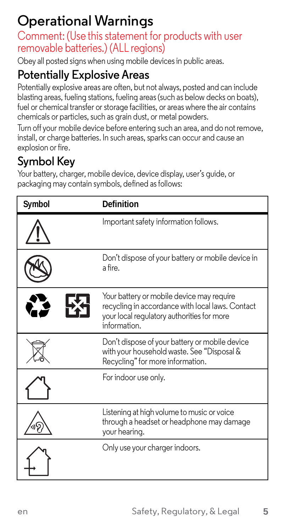# **Operational Warnings**

Comment: (Use this statement for products with user removable batteries.) (ALL regions)

Obey all posted signs when using mobile devicesin public areas.

# **Potentially Explosive Areas**

Potentially explosive areas are often, but not always, posted and can include blasting areas, fueling stations, fueling areas (such as below decks on boats), fuel or chemical transfer or storage facilities, or areas where the air contains chemicals or particles, such as grain dust, or metal powders.

Turn off your mobile device before entering such an area, and do not remove, install, or charge batteries. In such areas, sparks can occur and cause an explosion or fire.

# **Symbol Key**

Your battery, charger, mobile device, device display, user's quide, or packaging may contain symbols, defined as follows:

| Symbol | <b>Definition</b>                                                                                                                                          |
|--------|------------------------------------------------------------------------------------------------------------------------------------------------------------|
|        | Important safety information follows.                                                                                                                      |
|        | Don't dispose of your battery or mobile device in<br>a fire                                                                                                |
|        | Your battery or mobile device may require<br>recycling in accordance with local laws. Contact<br>your local regulatory authorities for more<br>information |
|        | Don't dispose of your battery or mobile device<br>with your household waste. See "Disposal &<br>Recycling" for more information.                           |
|        | For indoor use only.                                                                                                                                       |
|        | Listening at high volume to music or voice<br>through a headset or headphone may damage<br>your hearing.                                                   |
|        | Only use your charger indoors.                                                                                                                             |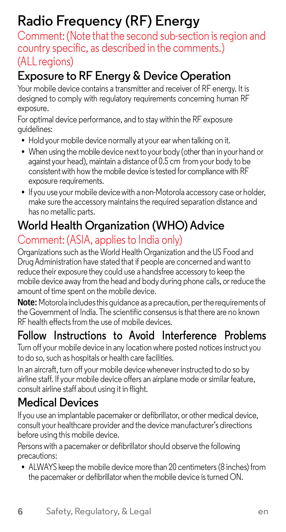# **Radio Frequency (RF) Energy**

country specific, as described in the comments.) (ALL regions)

# **Exposure to RF Energy & Device Operation**

Your mobile device contains a transmitter and receiver of RF energy. It is designed to comply with regulatory requirements concerning human RF exposure.

For optimal device performance, and to stay within the RF exposure guidelines:

- **•** Hold your mobile device normally at your ear when talking on it.
- When using the mobile device next to your body (other than in your hand or against your head), maintain a distance of 0.5 cm from your body to be consistent with how the mobile device is tested for compliance with RF exposure requirements.
- **•** If you use your mobile device with a non-Motorola accessory case or holder, make sure the accessory maintainsthe required separation distance and has no metallic parts.

# **World Health Organization (WHO) Advice**

#### Comment: (ASIA, applies to India only)

Organizations such as the World Health Organization and the US Food and Drug Administration have stated that if people are concerned and want to reduce their exposure they could use a handsfree accessory to keep the mobile device away from the head and body during phone calls, or reduce the amount of time spent on the mobile device.

Note: Motorola includes this quidance as a precaution, per the requirements of the Government of India. The scientific consensus isthat there are no known RF health effects from the use of mobile devices.

### **Follow Instructions to Avoid Interference Problems**

Turn off your mobile device in any location where posted notices instruct you to do so, such as hospitals or health care facilities.

In an aircraft, turn off your mobile device whenever instructed to do so by airline staff. If your mobile device offers an airplane mode orsimilar feature, consult airline staff about using it in flight.

### **Medical Devices**

If you use an implantable pacemaker or defibrillator, or other medical device, consult your healthcare provider and the device manufacturer's directions before using this mobile device.

Persons with a pacemaker or defibrillator should observe the following precautions:

**•** ALWAYS keep the mobile device more than 20 centimeters(8 inches) from the pacemaker or defibrillator when the mobile device is turned ON.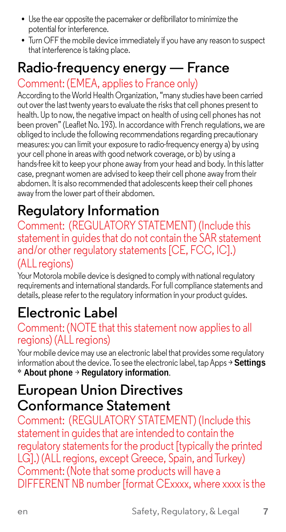- **•** Use the ear opposite the pacemaker or defibrillator to minimize the potential for interference.
- **•** Turn OFF the mobile device immediately if you have any reason to suspect that interference is taking place.

# **Radio-frequency energy — France**

Comment: (EMEA, appliesto France only)

According to the World Health Organization, "many studies have been carried out over the last twenty years to evaluate the risksthat cell phones present to health. Up to now, the negative impact on health of using cell phones has not been proven" (Leaflet No. 193). In accordance with French regulations, we are obliged to include the following recommendations regarding precautionary measures: you can limit your exposure to radio-frequency energy a) by using your cell phone in areas with good network coverage, or b) by using a hands-free kit to keep your phone away from your head and body. In this latter case, pregnant women are advised to keep their cell phone away from their abdomen. It is also recommended that adolescents keep their cell phones away from the lower part of their abdomen.

# **Regulatory Information**

Comment: (REGULATORY STATEMENT) (Include this statement in guides that do not contain the SAR statement and/or other regulatory statements [CE, FCC, IC].) (ALL regions)

Your Motorola mobile device is designed to comply with national regulatory requirements and internationalstandards. For full compliance statements and details, please refer to the regulatory information in your product guides.

# **Electronic Label**

# Comment: (NOTE that this statement now applies to all<br>regions) (ALL regions)

Your mobile device may use an electronic label that provides some regulatory information about the device. To see the electronic label, tapApps > **Settings** \* **About phone** > **Regulatory information**.

# **European Union Directives Conformance Statement**

Comment: (REGULATORY STATEMENT) (Include this statement in guides that are intended to contain the regulatory statements for the product [typically the printed LG1.) (ALL regions, except Greece, Spain, and Turkey) Comment: (Note that some products will have a DIFFERENT NB number [format CExxxx, where xxxx isthe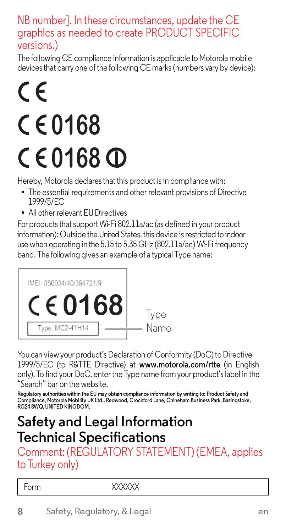#### NB number]. In these circumstances, update the CE graphics as needed to create PRODUCT SPECIFIC versions.)

The following CE compliance information is applicable to Motorola mobile devicesthat carry one of the following CE marks (numbers vary by device):

# $\epsilon$ **0168 0168**

Hereby, Motorola declaresthat this product is in compliance with:

- **•** The essential requirements and other relevant provisions of Directive 1999/5/EC
- **•** All other relevant EU Directives

For products that support Wi-Fi 802.11a/ac (as defined in your product information): Outside the United States, this device is restricted to indoor use when operating in the 5.15 to 5.35 GHz (802.11a/ac) Wi-Fi frequency band. The following gives an example of a typical Type name:



You can view your product's Declaration of Conformity (DoC) to Directive 1999/5/EC (to R&TTE Directive) at **[www.motorola.com/rtte](http://www.motorola.com/rtte)** (in English only). To find your DoC, enter the Type name from your product's label in the "Search" bar on the website.

Regulatory authorities within the EU may obtain compliance information by writing to: Product Safety and<br>Compliance, Motorola Mobility UK Ltd., Redwood, Crockford Lane, Chineham Business Park, Basingstoke, **RG24 8WQ, UNITED KINGDOM.**

# **Safety and Legal Information Technical Specifications**

Comment: (REGULATORY STATEMENT) (EMEA, applies to Turkey only)

| $\overline{\phantom{a}}$<br>----<br>on n<br>the control of the control of the con- | 0.000000<br>v<br>v<br>$\sim$<br>$\sim$ |
|------------------------------------------------------------------------------------|----------------------------------------|
|                                                                                    |                                        |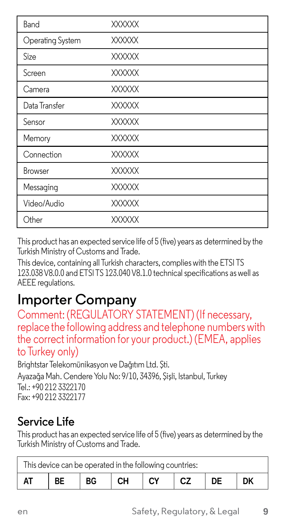| Band             | <b>XXXXXX</b> |
|------------------|---------------|
| Operating System | XXXXXX        |
| Size             | <b>XXXXXX</b> |
| Screen           | <b>XXXXXX</b> |
| Camera           | <b>XXXXXX</b> |
| Data Transfer    | <b>XXXXXX</b> |
| Sensor           | <b>XXXXXX</b> |
| Memory           | <b>XXXXXX</b> |
| Connection       | <b>XXXXXX</b> |
| Browser          | <b>XXXXXX</b> |
| Messaging        | <b>XXXXXX</b> |
| Video/Audio      | <b>XXXXXX</b> |
| Other            | <b>XXXXXX</b> |

This product has an expected service life of 5 (five) years as determined by the Turkish Ministry of Customs and Trade.

This device, containing all Turkish characters, complies with the ETSI TS 123.038V8.0.0 and ETSI TS 123.040V8.1.0 technicalspecifications as well as AEEE regulations.

**Importer Company**<br>Comment: (REGULATORY STATEMENT) (If necessary, replace the following address and telephone numbers with the correct information for your product.) (EMEA, applies to Turkey only)

Brightstar Telekomünikasyon ve Dağıtım Ltd. Şti. Ayazağa Mah. Cendere Yolu No: 9/10, 34396, Şişli, Istanbul, Turkey Tel.: +90 212 3322170 Fax: +90 212 3322177

### **Service Life**

This product has an expected service life of 5 (five) years as determined by the Turkish Ministry of Customs and Trade.

| This device can be operated in the following countries: |           |           |       |  |     |    |  |
|---------------------------------------------------------|-----------|-----------|-------|--|-----|----|--|
| AT                                                      | <b>BE</b> | <b>BG</b> | CH CY |  | ICZ | DE |  |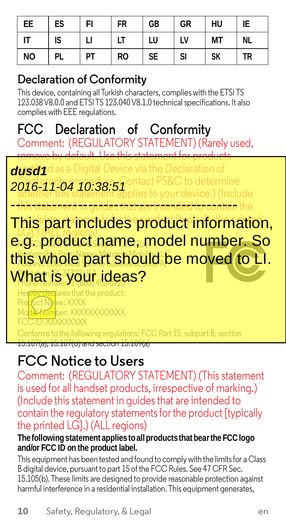| EE        | ES | FI | <b>FR</b> | GB        | GR | HU        | IE        |
|-----------|----|----|-----------|-----------|----|-----------|-----------|
| IT        | IS | п  | LT        | LU        | LV | <b>MT</b> | <b>NL</b> |
| <b>NO</b> | PL | PT | <b>RO</b> | <b>SE</b> | SI | <b>SK</b> | <b>TR</b> |

### **Declaration of Conformity**

This device, containing all Turkish characters, complies with the ETSI TS 123.038V8.0.0 and ETSI TS 123.040V8.1.0 technicalspecifications. It also complies with EEE regulations.

# **FCC Declaration of Conformity**

Comment: (REGULATORY STATEMENT) (Rarely used, remove by default. Use this statement for products

dusd1<sup>d</sup> as a Digital Device via the Declaration of **2016-11-04 10:38:51** Ontact PS&C to determine

whether this statement applies to your device.) (Include **this statement in guides that are intended to contain** the - this statement in guides that are intended to contain

This part includes product information, **LGD. ALL regions) Product Product and All regions**<br>e.g. product name, model number. So this whole part should be moved to LI. What is your ideas?

lares that the product: Product Name: XXXX Www.ber: XXXXXXXXXXXX FCC ID: XXXXXXXXX

iforms to the following regulations:  $\mathsf{FCC}$  Part 15, subpart B, section (a), 15.107(d) and section 15.1

# **FCC Notice to Users**

Comment: (REGULATORY STATEMENT) (This statement is used for all handset products, irrespective of marking.)<br>(Include this statement in quides that are intended to contain the regulatory statements for the product [typically the printed LG].) (ALL regions)

#### **The followingstatement appliestoall productsthat bearthe FCClogo and/or FCC ID on the product label.**

This equipment has been tested and found to comply with the limits for a Class B digital device, pursuant to part 15 of the FCC Rules. See 47 CFR Sec. 15.105(b).These limits are designed to provide reasonable protection against harmful interference in a residential installation. This equipment generates,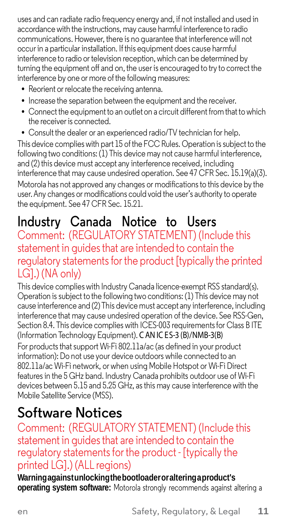uses and can radiate radio frequency energy and, if not installed and used in accordance with the instructions, may cause harmful interference to radio communications. However, there is no guarantee that interference will not occur in a particular installation. Ifthis equipment does cause harmful interference to radio or television reception, which can be determined by turning the equipment off and on, the user is encouraged to try to correct the interference by one or more of the following measures:

- **•** Reorient or relocate the receiving antenna.
- **•** Increase the separation between the equipment and the receiver.
- **•** Connect the equipment to an outlet on a circuit different fromthat to which the receiver is connected.

**•** Consult the dealer or an experienced radio/TV technician for help. This device complies with part 15 ofthe FCC Rules. Operation issubject to the following two conditions: (1) This device may not cause harmful interference, and (2) this device must accept any interference received, including interference that may cause undesired operation. See 47 CFR Sec. 15.19(a)(3). Motorola has not approved any changes or modifications to this device by the user. Any changes or modifications could void the user's authority to operate the equipment. See 47 CFR Sec. 15.21.

# **Industry Canada Notice to Users**

#### Comment: (REGULATORY STATEMENT) (Include this statement in guides that are intended to contain the regulatory statements for the product [typically the printed LG].) (NA only)

This device complies with Industry Canada licence-exempt RSS standard(s). Operation is subject to the following two conditions: (1) This device may not cause interference and (2) This device must accept any interference, including interference that may cause undesired operation of the device. See RSS-Gen, Section 8.4. This device complies with ICES-003 requirements for Class B ITE (Information Technology Equipment). C AN IC ES-3 (B)/NMB-3(B) For products that support Wi-Fi 802.11a/ac (as defined in your product information): Do not use your device outdoors while connected to an 802.11a/ac Wi-Fi network, or when using Mobile Hotspot or Wi-Fi Direct features in the 5 GHz band. Industry Canada prohibits outdoor use of Wi-Fi devices between 5.15 and 5.25 GHz, asthis may cause interference with the Mobile Satellite Service (MSS).

# **Software Notices**

Comment: (REGULATORY STATEMENT) (Include this regulatory statements for the product - [typically the printed LG].) (ALL regions)

**Warningagainstunlockingthebootloaderoraltering a product's operating system software:** Motorola strongly recommends against altering a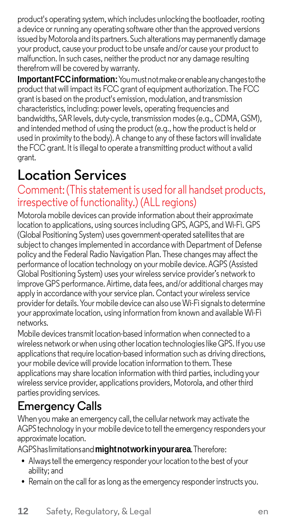product's operating system, which includes unlocking the bootloader, rooting a device or running any operating software other than the approved versions issued by Motorola and its partners. Such alterations may permanently damage your product, cause your product to be unsafe and/or cause your product to malfunction. In such cases, neither the product nor any damage resulting therefrom will be covered by warranty.

**Important FCCinformation:**Youmustnotmake orenable any changes to the product that will impact its FCC grant of equipment authorization. The FCC grant is based on the product's emission, modulation, and transmission characteristics, including: power levels, operating frequencies and bandwidths, SAR levels, duty-cycle, transmission modes (e.g., CDMA, GSM), and intended method of using the product (e.g., how the product is held or used in proximity to the body).A change to any of these factors will invalidate the FCC grant. It is illegal to operate a transmitting product without a valid grant.

# **Location Services**

#### Comment: (This statement is used for all handset products, irrespective of functionality.) (ALL regions)

Motorola mobile devices can provide information about their approximate location to applications, using sources including GPS, AGPS, and Wi-Fi. GPS (Global Positioning System) uses government-operated satellites that are subject to changesimplemented in accordance with Department of Defense policy and the Federal Radio Navigation Plan. These changes may affect the performance of location technology on your mobile device. AGPS (Assisted Global Positioning System) uses your wireless service provider's network to improve GPS performance. Airtime, data fees, and/or additional charges may apply in accordance with your service plan. Contact your wireless service provider for details. Your mobile device can also useWi-Fisignals to determine your approximate location, using information from known and available Wi-Fi networks.

Mobile devices transmit location-based information when connected to a wireless network orwhen using otherlocation technologieslike GPS. If you use applications that require location-based information such as driving directions, your mobile device will provide location information to them. These applications may share location information with third parties, including your wireless service provider, applications providers, Motorola, and other third parties providing services.

### **Emergency Calls**

When you make an emergency call, the cellular network may activate the AGPS technology in your mobile device to tell the emergency responders your approximate location.

AGPShaslimitationsand**mightnot workin your area**. Therefore:

- **•** Always tell the emergency responder your location to the best of your ability; and
- **•** Remain on the call for aslong asthe emergency responder instructs you.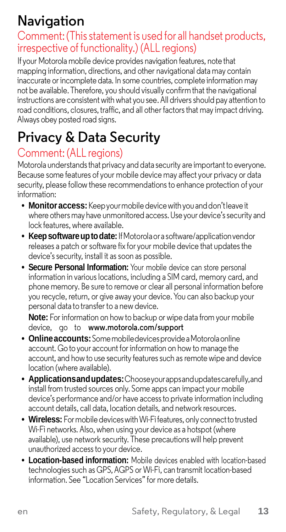# **Navigation**

#### Comment: (This statement is used for all handset products, irrespective of functionality.) (ALL regions)

If your Motorola mobile device provides navigation features, note that mapping information, directions, and other navigational data may contain inaccurate or incomplete data. In some countries, complete information may not be available. Therefore, you should visually confirmthat the navigational instructions are consistent with what you see. All drivers should pay attention to road conditions, closures, traffic, and all other factors that may impact driving. Always obey posted road signs.

# **Privacy & Data Security**

#### Comment: (ALL regions)

Motorola understands that privacy and data security are important to everyone. Because some features of your mobile device may affect your privacy or data security, please follow these recommendations to enhance protection of your information:

- **• Monitor access:** Keep your mobile device with you and don't leave it where others may have unmonitored access. Use your device's security and lock features, where available.
- **• Keep software up to date:** If Motorolaor a software/application vendor releases a patch or software fix for your mobile device that updates the device's security, install it as soon as possible.
- **• Secure Personal Information:** Your mobile device can store personal information in various locations, including a SIM card, memory card, and phone memory. Be sure to remove or clear all personal information before you recycle, return, or give away your device. You can also backup your personal data to transfer to a new device.

**Note:** For information on how to backup or wipe data from your mobile device, go to **[www.motorola.com/support](http://www.motorola.com/support)**

- **• Onlineaccounts:**Somemobile devices provide a Motorolaonline account. Go to your account for information on how to manage the account, and how to use security features such as remote wipe and device location (where available).
- **• Applicationsandupdates:**Choose yourappsandupdatescarefully, and install from trusted sources only. Some apps can impact your mobile device's performance and/or have access to private information including account details, call data, location details, and network resources.
- **• Wireless:** Formobile devices with Wi-Fi features, only connect to trusted Wi-Fi networks. Also, when using your device as a hotspot (where available), use network security. These precautions will help prevent unauthorized access to your device.
- **• Location-based information:** Mobile devices enabled with location-based technologies such as GPS, AGPS or Wi-Fi, can transmit location-based information. See "Location Services" for more details.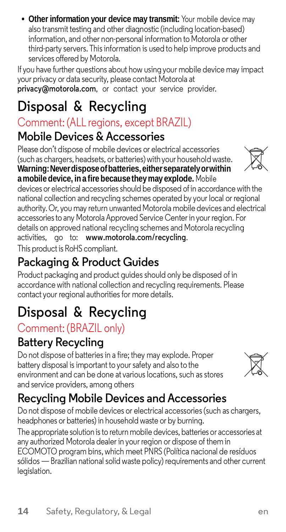**• Other information your device may transmit:** Your mobile device may also transmit testing and other diagnostic (including location-based) information, and other non-personal information to Motorola or other third-party servers. Thisinformation is used to help improve products and services offered by Motorola.

If you have further questions about how usingyour mobile device may impact your privacy or data security, please contact Motorola at **[privacy@motorola.com](mailto:privacy@motorola.com)**, or contact your service provider.

# **Disposal & Recycling**

# Comment: (ALL regions, except BRAZIL)

# **Mobile Devices &Accessories**

Please don't dispose of mobile devices or electrical accessories (such as chargers, headsets, or batteries)withyour householdwaste. **Warning:Neverdisposeofbatteries, eitherseparatelyorwithin amobile device, ina fire becausethey may explode.** Mobile

devices or electrical accessories should be disposed of in accordance with the national collection and recycling schemes operated by your local or regional authority.Or, you may return unwanted Motorola mobile devices and electrical accessories to any Motorola Approved Service Center in your region. For details on approved national recycling schemes and Motorola recycling activities, go to: **[www.motorola.com/recycling](http://www.motorola.com/recycling)**. This product is RoHS compliant.

# **Packaging & Product Guides**

Product packaging and product guides should only be disposed of in accordance with national collection and recycling requirements. Please contact your regional authorities for more details.

# **Disposal & Recycling**

# Comment: (BRAZIL only)

# **Battery Recycling**

Do not dispose of batteries in a fire; they may explode. Proper battery disposal isimportant to yoursafety and also to the environment and can be done at various locations, such as stores and service providers, among others

# **Recycling Mobile Devices and Accessories**

Do not dispose of mobile devices or electrical accessories (such as chargers, headphones or batteries) in household waste or by burning. The appropriate solution isto return mobile devices, batteries or accessories at any authorized Motorola dealer in your region or dispose of them in ECOMOTO program bins, which meet PNRS (Política nacional de resíduos sólidos —Brazilian national solid waste policy) requirements and other current legislation.



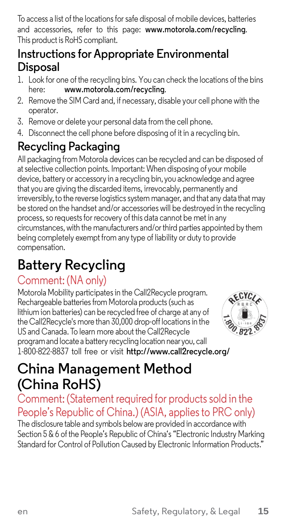To access a list of the locationsforsafe disposal of mobile devices, batteries and accessories, refer to this page: **[www.motorola.com/recycling](http://www.motorola.com/recycling)**. This product is RoHS compliant.

#### **Instructions for Appropriate Environmental Disposal**

- 1. Look for one of the recycling bins. You can check the locations of the bins here: **[www.motorola.com/recycling](http://www.motorola.com/recycling)**.
- 2. Remove the SIM Card and, if necessary, disable your cell phone with the operator.
- 3. Remove or delete your personal data from the cell phone.
- 4. Disconnect the cell phone before disposing of it in a recycling bin.

# **Recycling Packaging**

All packaging from Motorola devices can be recycled and can be disposed of atselective collection points. Important: When disposing of your mobile device, battery or accessory in a recycling bin, you acknowledge and agree that you are giving the discarded items, irrevocably, permanently and irreversibly, to the reverse logistics system manager, and that any data that may be stored on the handset and/or accessories will be destroyed in the recycling process, so requests for recovery of this data cannot be met in any circumstances, with the manufacturers and/orthird parties appointed by them being completely exempt from any type of liability or duty to provide compensation.

# **Battery Recycling**

### Comment: (NA only)

Motorola Mobility participatesin the Call2Recycle program. Rechargeable batteries from Motorola products (such as lithium ion batteries) can be recycled free of charge at any of theCall2Recycle's more than 30,000 drop-off locationsin the US and Canada. To learn more about the Call2Recycle programand locatea battery recyclinglocation nearyou, call 1-800-822-8837 toll free or visit **<http://www.call2recycle.org/>**



# **China Management Method (China RoHS)**

# Comment: (Statement required for products sold in the People's Republic of China.) (ASIA, applies to PRC only)<br>The disclosure table and symbols below are provided in accordance with

Section 5 & 6 of the People's Republic of China's "Electronic Industry Marking Standard for Control of Pollution Caused by Electronic Information Products."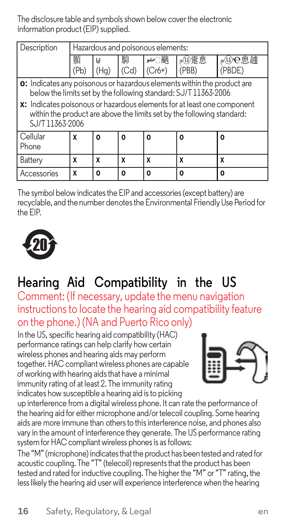The disclosure table and symbols shown below coverthe electronic information product (EIP) supplied.

| Description<br>Hazardous and poisonous elements:                                                                                                                                                                                                                                                                         |           |                         |           |          |                 |                 |  |
|--------------------------------------------------------------------------------------------------------------------------------------------------------------------------------------------------------------------------------------------------------------------------------------------------------------------------|-----------|-------------------------|-----------|----------|-----------------|-----------------|--|
|                                                                                                                                                                                                                                                                                                                          | 顥<br>(Pb) | IJ<br>(H <sub>a</sub> ) | 駟<br>(Cd) | $(Cr6+)$ | a(U)疐思<br>'PBB) | ⊿⑪⊖典據<br>(PBDE) |  |
| <b>0:</b> Indicates any poisonous or hazardous elements within the product are<br>below the limits set by the following standard: SJ/T 11363-2006<br>x: Indicates poisonous or hazardous elements for at least one component<br>within the product are above the limits set by the following standard:<br>SJ/T11363-2006 |           |                         |           |          |                 |                 |  |
| Cellular<br>Phone                                                                                                                                                                                                                                                                                                        | X         | O                       | n         | O        | O               | O               |  |
| Battery                                                                                                                                                                                                                                                                                                                  | X         | X                       | x         | x        |                 | x               |  |
| Accessories                                                                                                                                                                                                                                                                                                              | X         | O                       | O         | O        | O               | O               |  |

The symbol below indicates the EIP and accessories (except battery) are recyclable, and the number denotesthe Environmental FriendlyUse Period for the EIP.



# **Hearing Aid Compatibility in the US**

Comment: (If necessary, update the menu navigation instructionsto locate the hearing aid compatibility feature on the phone.) (NA and Puerto Rico only)

In the US, specific hearing aid compatibility (HAC) performance ratings can help clarify how certain wireless phones and hearing aids may perform together. HAC compliant wireless phones are capable of working with hearing aidsthat have a minimal immunity rating of at least 2. The immunity rating indicates how susceptible a hearing aid isto picking



up interference from a digital wireless phone. It can rate the performance of the hearing aid for either microphone and/ortelecoil coupling. Some hearing aids are more immune than othersto thisinterference noise, and phones also vary in the amount of interference they generate. The US performance rating system for HAC compliant wireless phonesis asfollows:

The "M" (microphone) indicatesthatthe product has been tested and rated for acoustic coupling. The "T" (telecoil) represents that the product has been tested and rated for inductive coupling. The higher the "M" or "T" rating, the lesslikely the hearing aid user will experience interference when the hearing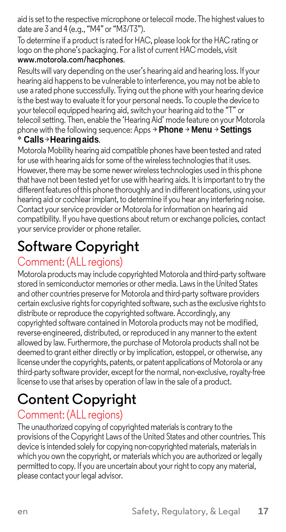aid is set to the respective microphone ortelecoil mode. The highest valuesto date are 3 and 4 (e.g., "M4" or "M3/T3").

To determine if a product israted for HAC, please look for the HAC rating or logo on the phone's packaging. For a list of current HAC models, visit **[www.motorola.com/hacphones](http://www.motorola.com/hacphones)**.

Results will vary depending on the user's hearing aid and hearing loss. If your hearing aid happensto be vulnerable to interference, you may not be able to use a rated phone successfully. Trying out the phone with your hearing device isthe best way to evaluate it for your personal needs. To couple the device to yourtelecoil equipped hearing aid, switch your hearing aid to the "T" or telecoil setting. Then, enable the 'Hearing Aid' mode feature on your Motorola phone with the following sequence: Apps > **Phone** > **Menu** > **Settings** \* **Calls**>**Hearingaids**.

Motorola Mobility hearing aid compatible phones have been tested and rated for use with hearing aids for some of the wireless technologies that it uses. However, there may be some newer wireless technologies used in this phone that have not been tested yet for use with hearing aids. It isimportant to try the different features of this phone thoroughly and in different locations, using your hearing aid or cochlear implant, to determine if you hear any interfering noise. Contact your service provider or Motorola for information on hearing aid compatibility. If you have questions about return or exchange policies, contact yourservice provider or phone retailer.

# **Software Copyright**

#### Comment: (ALL regions)

Motorola products may include copyrighted Motorola and third-party software stored in semiconductor memories or other media. Lawsin the United States and other countries preserve for Motorola and third-party software providers certain exclusive rights for copyrighted software, such as the exclusive rights to distribute or reproduce the copyrighted software.Accordingly, any copyrighted software contained in Motorola products may not be modified, reverse-engineered, distributed, or reproduced in any mannerto the extent allowed by law. Furthermore, the purchase of Motorola products shall not be deemed to grant either directly or by implication, estoppel, or otherwise, any license underthe copyrights, patents, or patent applications of Motorola or any third-party software provider, except forthe normal, non-exclusive, royalty-free license to use that arises by operation of law in the sale of a product.

# **Content Copyright**

#### Comment: (ALL regions)

The unauthorized copying of copyrighted materialsis contrary to the provisions of the Copyright Laws of the United States and other countries. This device is intended solely for copying non-copyrighted materials, materials in which you own the copyright, or materials which you are authorized or legally permitted to copy. If you are uncertain about your right to copy any material, please contact your legal advisor.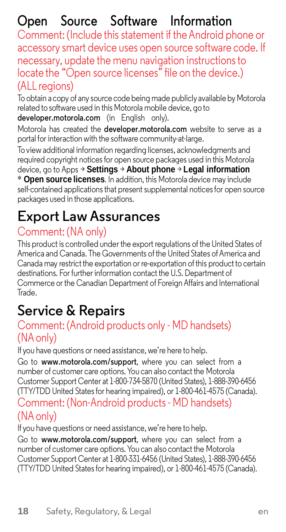# **Open Source Software Information**

Comment: (Include this statement if theAndroid phone or accessory smart device uses open source software code. If necessary, update the menu navigation instructionsto locate the "Open source licenses" file on the device.) (ALL regions)

To obtain acopy of any source code being made publicly available by Motorola related to software used in this Motorola mobile device, go to **developer.motorola.com** (in English only).

Motorola has created the **developer.motorola.com** website to serve as a portal for interaction with the software community-at-large.

To view additional information regarding licenses, acknowledgments and required copyright noticesfor open source packages used in this Motorola device, go to Apps > **Settings** > **About phone** > **Legal information** \* **Open source licenses**. In addition, this Motorola device may include self-contained applications that present supplemental notices for open source packages used in those applications.

# **Export Law Assurances**

### Comment: (NA only)

This product is controlled under the export regulations of the United States of America and Canada. The Governments of the United States of America and Canada may restrict the exportation or re-exportation ofthis product to certain destinations. For further information contact the U.S. Department of Commerce or the Canadian Department of Foreign Affairs and International Trade.

# **Service & Repairs**

#### Comment: (Android products only - MD handsets) (NAonly)

If you have questions or need assistance, we're here to help.

Go to **[www.motorola.com/support](http://www.motorola.com/support%2Cwhereyou)**, where you can select from a number of customer care options.You can also contact the Motorola Customer Support Center at 1-800-734-5870 (United States), 1-888-390-6456 (TTY/TDD United Statesfor hearing impaired), or 1-800-461-4575 (Canada).

#### Comment: (Non-Android products - MD handsets) (NAonly)

If you have questions or need assistance, we're here to help.

Go to **[www.motorola.com/support](http://www.motorola.com/support%2Cwhereyou)**, where you can select from a number of customer care options.You can also contact the Motorola Customer Support Center at 1-800-331-6456 (United States), 1-888-390-6456 (TTY/TDD United Statesfor hearing impaired), or 1-800-461-4575 (Canada).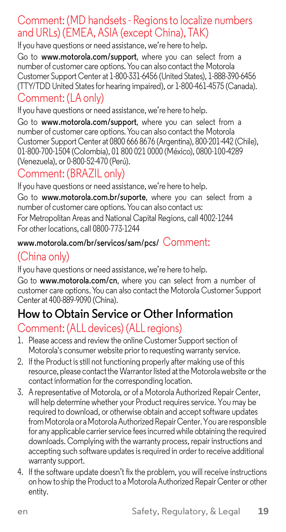#### Comment: (MD handsets - Regionsto localize numbers and URLs) (EMEA, ASIA (except China), TAK)

If you have questions or need assistance, we're here to help. Go to **[www.motorola.com/support](http://www.motorola.com/support%2Cwhereyou)**, where you can select from a number of customer care options.You can also contact the Motorola Customer Support Center at 1-800-331-6456 (United States), 1-888-390-6456 (TTY/TDD United Statesfor hearing impaired), or 1-800-461-4575 (Canada). Comment: (LA only)

#### If you have questions or need assistance, we're here to help.

Go to **[www.motorola.com/support](http://www.motorola.com/support%2Cwhereyou)**, where you can select from a number of customer care options.You can also contact the Motorola Customer Support Center at 0800 666 8676 (Argentina), 800-201-442 (Chile), 01-800-700-1504 (Colombia), 01 800 021 0000 (México), 0800-100-4289 (Venezuela), or 0-800-52-470 (Perú).

#### Comment: (BRAZIL only)

If you have questions or need assistance, we're here to help. Go to **[www.motorola.com.br/suporte](http://www.motorola.com.br/suporte%2Cwhereyou)**, where you can select from a number of customer care options.You can also contact us: For Metropolitan Areas and National Capital Regions, call 4002-1244 For other locations, call 0800-773-1244

#### **[www.motorola.com/br/servicos/sam/pcs/](http://www.motorola.com/br/servicos/sam/pcs/)** Comment:

### (China only)

If you have questions or need assistance, we're here to help. Go to **[www.motorola.com/cn](http://www.motorola.com/cn%2Cwhereyou)**, where you can select from a number of customer care options.You can also contact the Motorola Customer Support Center at 400-889-9090 (China).

### **How to Obtain Service or Other Information**

#### Comment: (ALL devices) (ALL regions)

- 1. Please access and review the online Customer Support section of Motorola's consumer website prior to requesting warranty service.
- 2. If the Product is still not functioning properly after making use of this resource, please contact the Warrantor listed at the Motorola website or the contact information for the corresponding location.
- 3. A representative of Motorola, or of a Motorola Authorized Repair Center, will help determine whether your Product requires service. You may be required to download, or otherwise obtain and acceptsoftware updates from Motorola or a Motorola Authorized Repair Center. You are responsible for any applicable carrier service fees incurred while obtaining the required downloads. Complying with the warranty process, repair instructions and accepting such software updates is required in order to receive additional warranty support.
- 4. If the software update doesn't fix the problem, you will receive instructions on how to ship the Product to a MotorolaAuthorized Repair Center or other entity.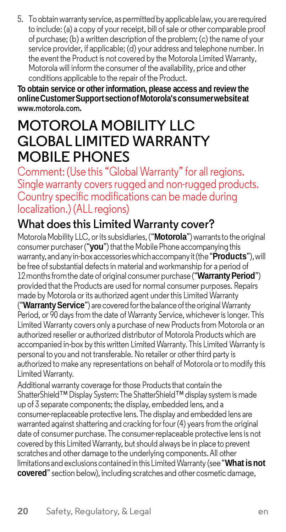5. To obtainwarranty service, aspermittedby applicablelaw, you arerequired to include: (a) a copy of your receipt, bill of sale or other comparable proof of purchase; (b) a written description of the problem; (c) the name of your service provider, if applicable; (d) your address and telephone number. In the event the Product is not covered by the Motorola Limited Warranty, Motorola will inform the consumer of the availability, price and other conditions applicable to the repair of the Product.

**To obtain service or other information, please access and review the onlineCustomerSupportsectionofMotorola'sconsumerwebsiteat [www.motorola.com](http://www.motorola.com/).**

# **MOTOROLA MOBILITY LLC GLOBAL LIMITED WARRANTY MOBILE PHONES**

Comment: (Use this "Global Warranty" for all regions. Single warranty covers rugged and non-rugged products. Country specific modifications can be made during localization.) (ALL regions)

#### **What does this LimitedWarranty cover?**

Motorola Mobility LLC, or its subsidiaries, ("Motorola") warrants to the original consumer purchaser("**you**") thatthe Mobile Phone accompanyingthis warranty,andanyin-box accessorieswhichaccompanyit(the"**Products**"),will be free of substantial defects in material and workmanship for a period of 12 months from the date of original consumer purchase ("**Warranty Period**") provided that the Products are used for normal consumer purposes. Repairs made by Motorola or its authorized agent underthis Limited Warranty ("Warranty Service") are covered for the balance of the original Warranty Period, or 90 days from the date of Warranty Service, whichever is longer. This Limited Warranty covers only a purchase of new Productsfrom Motorola or an authorized reseller or authorized distributor of Motorola Products which are accompanied in-box by this written Limited Warranty. This Limited Warranty is

personal to you and not transferable. No retailer or other third party is authorized to make any representations on behalf of Motorola orto modify this Limited Warranty.

Additional warranty coverage for those Products that contain the ShatterShield™Display System:The ShatterShield™ display system is made up of 3 separate components; the display, embedded lens, and a consumer-replaceable protective lens.The display and embedded lens are warranted against shattering and cracking for four (4) years from the original date of consumer purchase. The consumer-replaceable protective lensis not covered by this Limited Warranty, but should always be in place to prevent scratches and other damage to the underlying components.All other limitations andexclusionscontainedin this LimitedWarranty (see"**Whatisnot covered**" section below), including scratches and other cosmetic damage,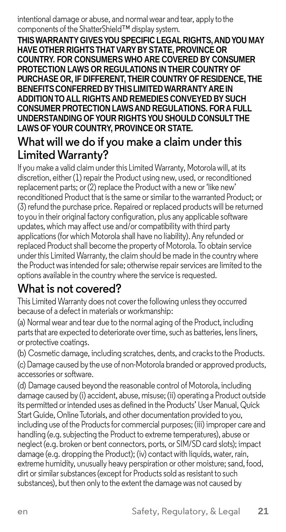#### intentional damage or abuse, and normal wear and tear, apply to the components of the ShatterShield™ display system.

**THISWARRANTY GIVESYOU SPECIFIC LEGAL RIGHTS,ANDYOU MAY HAVE OTHER RIGHTSTHATVARY BY STATE, PROVINCE OR COUNTRY. FOR CONSUMERS WHO ARE COVERED BY CONSUMER PROTECTION LAWS OR REGULATIONS IN THEIR COUNTRY OF PURCHASE OR, IF DIFFERENT, THEIR COUNTRY OF RESIDENCE, THE BENEFITSCONFERRED BYTHISLIMITED WARRANTYAREIN ADDITION TO ALL RIGHTS AND REMEDIES CONVEYED BY SUCH CONSUMER PROTECTION LAWSAND REGULATIONS. FORA FULL UNDERSTANDING OF YOUR RIGHTS YOU SHOULD CONSULT THE LAWS OF YOUR COUNTRY, PROVINCE OR STATE.**

#### **What will we do if you make a claim under this LimitedWarranty?**

If you make a valid claim under this Limited Warranty, Motorolawill, at its discretion, either (1) repair the Product using new, used, or reconditioned replacement parts; or (2) replace the Product with a new or 'like new' reconditioned Product that isthe same or similar to the warranted Product; or (3) refund the purchase price. Repaired or replaced products will be returned toyou in their original factory configuration, plus any applicable software updates, which may affect use and/or compatibility with third party applications(for which Motorola shall have no liability).Any refunded or replaced Product shall become the property of Motorola. To obtain service underthis Limited Warranty, the claim should be made in the country where the Product was intended for sale; otherwise repair services are limited to the options available in the country where the service is requested.

#### **What is not covered?**

This Limited Warranty does not coverthe following unlessthey occurred because of a defect in materials or workmanship:

(a) Normal wear and tear due to the normal aging of the Product, including parts that are expected to deteriorate over time, such as batteries, lens liners, or protective coatings.

(b) Cosmetic damage, including scratches, dents, and cracksto the Products. (c) Damage caused by the use of non-Motorola branded or approved products, accessories or software.

(d) Damage caused beyond the reasonable control of Motorola, including damage caused by (i) accident, abuse, misuse; (ii) operating a Product outside its permitted or intended uses as defined in the Products' User Manual, Quick Start Guide, Online Tutorials, and other documentation provided to you, including use of the Products for commercial purposes; (iii) improper care and handling (e.g. subjecting the Product to extreme temperatures), abuse or neglect (e.g. broken or bent connectors, ports, or SIM/SD card slots); impact damage (e.g. dropping the Product); (iv) contact with liquids, water, rain. extreme humidity, unusually heavy perspiration or other moisture; sand, food, dirt or similar substances (except for Products sold as resistant to such substances), but then only to the extent the damage was not caused by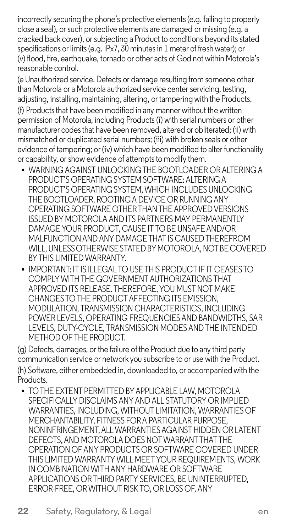incorrectly securing the phone's protective elements(e.g. failing to properly close a seal), or such protective elements are damaged or missing (e.g. a cracked back cover), or subjecting a Product to conditions beyond its stated specifications or limits(e.g. IPx7, 30 minutes in 1 meter of fresh water); or (v) flood, fire, earthquake, tornado or other acts of God not within Motorola's reasonable control.

(e Unauthorized service. Defects or damage resulting from someone other than Motorola or a Motorola authorized service centerservicing, testing, adjusting, installing, maintaining, altering, or tampering with the Products. (f) Productsthat have been modified in any manner without the written permission of Motorola, including Products (i) with serial numbers or other manufacturer codesthat have been removed, altered or obliterated; (ii) with mismatched or duplicated serial numbers; (iii) with broken seals or other evidence of tampering; or (iv) which have been modified to alter functionality or capability, orshow evidence of attemptsto modify them.

- **•** WARNINGAGAINST UNLOCKINGTHE BOOTLOADER ORALTERINGA PRODUCT'S OPERATING SYSTEM SOFTWARE: ALTERING A PRODUCT'S OPERATING SYSTEM, WHICH INCLUDES UNLOCKING THE BOOTLOADER, ROOTINGA DEVICE OR RUNNINGANY OPERATING SOFTWARE OTHER THAN THE APPROVED VERSIONS ISSUED BY MOTOROLAAND ITS PARTNERS MAY PERMANENTLY DAMAGEYOUR PRODUCT, CAUSE IT TO BE UNSAFEAND/OR MALFUNCTIONANDANYDAMAGE THAT IS CAUSEDTHEREFROM WILL, UNLESS OTHERWISE STATED BY MOTOROLA, NOT BE COVERED BYTHIS LIMITEDWARRANTY.
- **•** IMPORTANT: IT IS ILLEGAL TO USE THIS PRODUCT IF IT CEASESTO COMPLYWITHTHE GOVERNMENT AUTHORIZATIONS THAT APPROVED ITS RELEASE.THEREFORE,YOU MUSTNOT MAKE CHANGESTOTHE PRODUCTAFFECTING ITS EMISSION, MODULATION, TRANSMISSION CHARACTERISTICS, INCLUDING POWER LEVELS, OPERATING FREQUENCIESAND BANDWIDTHS, SAR LEVELS,DUTY-CYCLE, TRANSMISSION MODESANDTHE INTENDED METHOD OF THE PRODUCT.

(g) Defects, damages, or the failure ofthe Product due to any third party communication service or network you subscribe to or use with the Product. (h) Software, either embedded in, downloaded to, or accompanied with the Products.

**•** TOTHE EXTENT PERMITTED BYAPPLICABLE LAW, MOTOROLA SPECIFICALLYDISCLAIMS ANYANDALL STATUTORY OR IMPLIED WARRANTIES, INCLUDING, WITHOUT LIMITATION, WARRANTIES OF MERCHANTABILITY, FITNESS FOR A PARTICULAR PURPOSE. NONINFRINGEMENT,ALLWARRANTIESAGAINST HIDDEN OR LATENT DEFECTS,AND MOTOROLA DOES NOTWARRANTTHAT THE OPERATION OFANY PRODUCTS OR SOFTWARE COVERED UNDER THIS LIMITED WARRANTY WILL MEETYOUR REQUIREMENTS, WORK IN COMBINATION WITHANY HARDWARE OR SOFTWARE APPLICATIONS ORTHIRD PARTY SERVICES, BE UNINTERRUPTED, ERROR-FREE, ORWITHOUT RISK TO, OR LOSS OF,ANY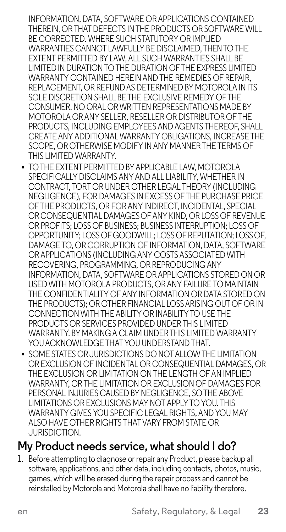INFORMATION, DATA, SOFTWARE ORAPPLICATIONS CONTAINED THEREIN, ORTHATDEFECTS INTHE PRODUCTS OR SOFTWAREWILL BE CORRECTED. WHERE SUCH STATUTORY OR IMPLIED WARRANTIES CANNOT LAWFULLY BE DISCLAIMED, THENTOTHE EXTENT PERMITTED BY LAW,ALL SUCH WARRANTIES SHALL BE LIMITEDIN DURATIONTOTHE DURATION OF THE EXPRESS LIMITED WARRANTY CONTAINED HEREIN AND THE REMEDIES OF REPAIR REPLACEMENT, OR REFUNDAS DETERMINED BY MOTOROLA IN ITS SOLE DISCRETION SHALL BE THE EXCLUSIVE REMEDY OF THE CONSUMER. NO ORAL ORWRITTEN REPRESENTATIONS MADE BY MOTOROLA ORANY SELLER, RESELLER ORDISTRIBUTOR OF THE PRODUCTS, INCLUDING EMPLOYEES AND AGENTS THEREOF, SHALL CREATEANY ADDITIONALWARRANTY OBLIGATIONS, INCREASE THE SCOPE, OR OTHERWISE MODIFY IN ANY MANNER THE TERMS OF THIS LIMITED WARRANTY.

- **•** TO THE EXTENT PERMITTED BY APPLICABLE LAW, MOTOROLA SPECIFICALLY DISCLAIMS ANY AND ALL LIABILITY, WHETHER IN CONTRACT, TORT ORUNDER OTHER LEGAL THEORY (INCLUDING NEGLIGENCE), FOR DAMAGES IN EXCESS OF THE PURCHASE PRICE OFTHE PRODUCTS, OR FORANY INDIRECT, INCIDENTAL, SPECIAL OR CONSEQUENTIAL DAMAGES OF ANY KIND, OR LOSS OF REVENUE OR PROFITS; LOSS OF BUSINESS; BUSINESS INTERRUPTION; LOSS OF OPPORTUNITY; LOSSOFGOODWILL; LOSSOF REPUTATION; LOSSOF, DAMAGETO, OR CORRUPTION OF INFORMATION, DATA, SOFTWARE OR APPLICATIONS (INCLUDING ANY COSTS ASSOCIATED WITH RECOVERING, PROGRAMMING, OR REPRODUCINGANY INFORMATION, DATA, SOFTWARE ORAPPLICATIONS STORED ON OR USEDWITH MOTOROLA PRODUCTS, ORANY FAILURE TO MAINTAIN THE CONFIDENTIALITY OF ANY INFORMATION OR DATA STORED ON THE PRODUCTS); OROTHER FINANCIAL LOSSARISING OUT OF OR IN CONNECTION WITH THE ABILITY OR INABILITY TO LISE THE PRODUCTS OR SERVICES PROVIDED UNDER THIS LIMITED WARRANTY. BY MAKINGA CLAIM UNDERTHIS LIMITED WARRANTY YOU ACKNOWLEDGE THAT YOU UNDERSTAND THAT.
- **•** SOME STATES OR JURISDICTIONS DO NOT ALLOW THE LIMITATION OR EXCLUSION OF INCIDENTAL OR CONSEQUENTIAL DAMAGES, OR THE EXCLUSION OR LIMITATION ONTHE LENGTH OFAN IMPLIED WARRANTY, OR THE LIMITATION OR EXCLUSION OF DAMAGES FOR PERSONAL INJURIES CAUSED BY NEGLIGENCE, SOTHE ABOVE LIMITATIONS OR EXCLUSIONS MAY NOT APPLYTOYOU. THIS WARRANTY GIVES YOU SPECIFIC LEGAL RIGHTS, AND YOU MAY ALSO HAVE OTHER RIGHTS THATVARY FROM STATE OR JURISDICTION.

#### **My Product needs service, what should I do?**

1. Before attempting to diagnose or repair any Product, please backup all software, applications, and other data, including contacts, photos, music, games, which will be erased during the repair process and cannot be reinstalled by Motorola and Motorola shall have no liability therefore.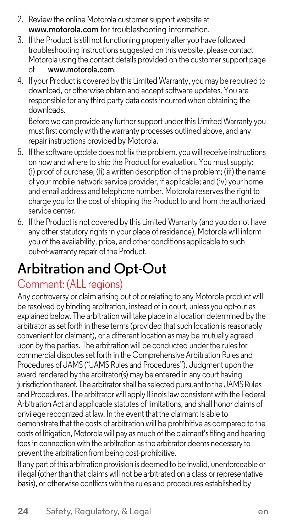- 2. Review the online Motorola customer support website at **[www.motorola.com](http://www.motorola.com/)** for troubleshooting information.
- 3. If the Product is still not functioning properly after you have followed troubleshooting instructions suggested on this website, please contact Motorola using the contact details provided on the customer support page<br>of summy motorola com of **[www.motorola.com](http://www.motorola.com/)**.
- 4. If your Product is covered by this Limited Warranty, you may be required to download, or otherwise obtain and accept software updates. You are responsible for any third party data costs incurred when obtaining the downloads.

Before we can provide any furthersupport underthis LimitedWarranty you must first comply with the warranty processes outlined above, and any repair instructions provided by Motorola.

- 5. If the software update does not fix the problem, you will receive instructions on how and where to ship the Product for evaluation. You must supply: (i) proof of purchase; (ii) a written description of the problem; (iii) the name of your mobile network service provider, if applicable; and (iv) your home and email address and telephone number. Motorola reserves the right to charge you for the cost of shipping the Product to and from the authorized service center.
- 6. If the Product is not covered by this Limited Warranty (and you do not have any other statutory rights in your place of residence), Motorola will inform you of the availability, price, and other conditions applicable to such out-of-warranty repair of the Product.

# **Arbitration and Opt-Out**

#### Comment: (ALL regions)

Any controversy or claim arising out of or relating to any Motorola product will be resolved by binding arbitration, instead of in court, unless you opt-out as explained below. The arbitration will take place in a location determined by the arbitrator as set forth in these terms (provided that such location is reasonably convenient for claimant), or a different location as may be mutually agreed upon by the parties. The arbitration will be conducted under the rules for commercial disputes set forth in the Comprehensive Arbitration Rules and Procedures of JAMS ("JAMS Rules and Procedures"). Judgment upon the award rendered by the arbitrator(s) may be entered in any court having jurisdiction thereof. The arbitrator shall be selected pursuant to the JAMS Rules and Procedures. The arbitrator will apply Illinoislaw consistent with the Federal Arbitration Act and applicable statutes of limitations, and shall honor claims of privilege recognized at law. In the event that the claimant is able to demonstrate that the costs of arbitration will be prohibitive as compared to the costs of litigation, Motorolawill pay as much of the claimant'sfiling and hearing fees in connection with the arbitration as the arbitrator deems necessary to prevent the arbitration from being cost-prohibitive.

If any part of this arbitration provision is deemed to be invalid, unenforceable or illegal (other than that claims will not be arbitrated on a class or representative basis), or otherwise conflicts with the rules and procedures established by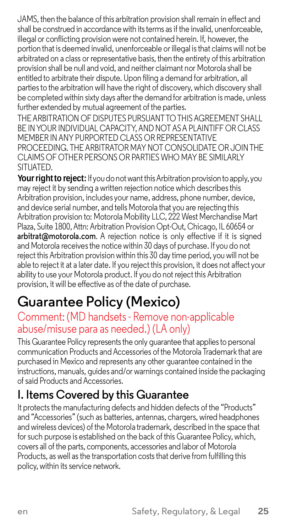JAMS, then the balance of this arbitration provision shall remain in effect and shall be construed in accordance with itsterms as if the invalid, unenforceable, illegal or conflicting provision were not contained herein. If, however, the portion that is deemed invalid, unenforceable or illegal isthat claims will not be arbitrated on a class or representative basis, then the entirety ofthis arbitration provision shall be null and void, and neither claimant nor Motorola shall be entitled to arbitrate their dispute. Upon filing a demand for arbitration, all partiesto the arbitration will have the right of discovery, which discovery shall be completed within sixty days afterthe demandfor arbitration is made, unless further extended by mutual agreement of the parties.

THE ARBITRATION OF DISPUTES PURSUANT TO THIS AGREEMENT SHALL BE IN YOUR INDIVIDUAL CAPACITY, AND NOT AS A PLAINTIFF OR CLASS. MEMBER IN ANY PURPORTED CLASS OR REPRESENTATIVE PROCEEDING. THEARBITRATOR MAY NOT CONSOLIDATE OR JOINTHE CLAIMS OF OTHER PERSONS OR PARTIES WHO MAY BE SIMILARLY **SITUATED.** 

**Your right to reject:** If you do not want this Arbitration provision to apply, you may reject it by sending a written rejection notice which describesthis Arbitration provision, includes your name, address, phone number, device, and device serial number, and tells Motorola that you are rejecting this Arbitration provision to: Motorola Mobility LLC, 222 West Merchandise Mart Plaza, Suite 1800, Attn: Arbitration Provision Opt-Out, Chicago, IL 60654 or **[arbitrat@motorola.com](mailto:arbitrat@motorola.com.A)**. A rejection notice is only effective if it is signed and Motorola receivesthe notice within 30 days of purchase. If you do not reject this Arbitration provision within this 30 day time period, you will not be able to reject it at a later date. If you reject this provision, it does not affect your ability to use your Motorola product. If you do not reject this Arbitration provision, it will be effective as of the date of purchase.

# **Guarantee Policy (Mexico)**

#### Comment: (MD handsets - Remove non-applicable abuse/misuse para as needed.) (LA only)

This Guarantee Policy represents the only quarantee that applies to personal communication Products andAccessories ofthe Motorola Trademark that are purchased in Mexico and represents any other guarantee contained in the instructions, manuals, guides and/or warnings contained inside the packaging ofsaid Products andAccessories.

#### **I. Items Covered by this Guarantee**

It protects the manufacturing defects and hidden defects of the "Products" and "Accessories" (such as batteries, antennas, chargers, wired headphones and wireless devices) of the Motorola trademark, described in the space that for such purpose is established on the back of this Guarantee Policy, which, covers all of the parts, components, accessories and labor of Motorola Products, as well as the transportation costs that derive from fulfilling this policy, within its service network.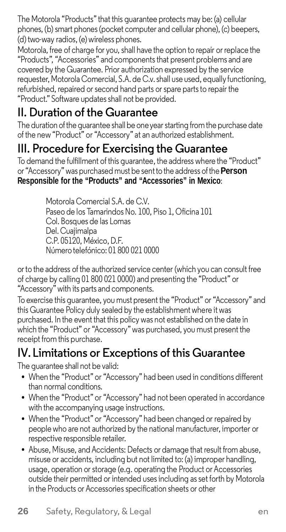The Motorola "Products" that this guarantee protects may be: (a) cellular phones, (b) smart phones (pocket computer and cellular phone), (c) beepers, (d) two-way radios, (e) wireless phones.

Motorola, free of charge for you, shall have the option to repair or replace the "Products", "Accessories" and componentsthat present problems and are covered by the Guarantee. Prior authorization expressed by the service requester, Motorola Comercial, S.A. de C.v.shall use used, equally functioning, refurbished, repaired orsecond hand parts or spare partsto repair the "Product." Software updatesshall not be provided.

#### **II. Duration of the Guarantee**

The duration of the guarantee shall be one year starting from the purchase date of the new "Product" or "Accessory" at an authorized establishment.

#### **III. Procedure for Exercising the Guarantee**

To demand the fulfillment of this guarantee, the address where the "Product" or "Accessory" was purchased must be sentto the address ofthe**Person Responsible for the "Products" and "Accessories" in Mexico**:

> Motorola Comercial S.A. de C.V. Paseo de los Tamarindos No. 100, Piso 1, Oficina 101 Col. Bosques de las Lomas Del.Cuajimalpa C.P. 05120, México, D.F. Número telefónico: 01 800 021 0000

orto the address of the authorized service center (which you can consult free of charge by calling 01 800 021 0000) and presenting the "Product" or "Accessory" with its parts and components.

To exercise this guarantee, you must present the "Product" or "Accessory" and this Guarantee Policy duly sealed by the establishment where it was purchased. In the event that this policy was not established on the date in which the "Product" or "Accessory" was purchased, you must present the receipt from this purchase.

### **IV. Limitations or Exceptions of this Guarantee**

The guarantee shall not be valid:

- **•** When the "Product" or "Accessory" had been used in conditions different than normal conditions.
- **•** When the "Product" or "Accessory" had not been operated in accordance with the accompanying usage instructions.
- **•** When the "Product" or "Accessory" had been changed or repaired by people who are not authorized by the national manufacturer, importer or respective responsible retailer.
- Abuse, Misuse, and Accidents: Defects or damage that result from abuse, misuse or accidents, including but not limited to: (a) improper handling, usage, operation or storage (e.g. operating the Product or Accessories outside their permitted or intended usesincluding asset forth by Motorola in the Products or Accessories specification sheets or other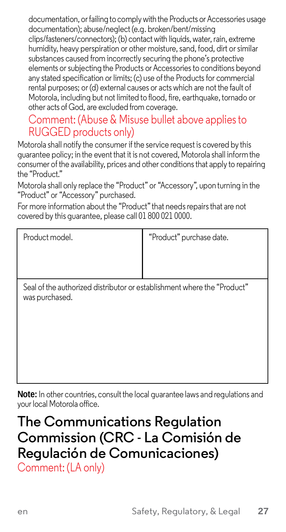documentation, or failing to comply with the Products or Accessories usage documentation); abuse/neglect (e.g. broken/bent/missing clips/fasteners/connectors); (b) contact with liquids, water, rain, extreme humidity, heavy perspiration or other moisture, sand, food, dirt or similar substances caused from incorrectly securing the phone's protective elements or subjecting the Products orAccessoriesto conditions beyond any stated specification or limits; (c) use of the Products for commercial rental purposes; or (d) external causes or acts which are not the fault of Motorola, including but not limited to flood, fire, earthquake, tornado or other acts of God, are excluded from coverage.

#### Comment: (Abuse & Misuse bullet above appliesto RUGGED products only)

Motorola shall notify the consumer if the service request is covered by this guarantee policy; in the event that it is not covered, Motorola shall inform the consumer of the availability, prices and other conditions that apply to repairing the "Product."

Motorola shall only replace the "Product" or "Accessory", upon turning in the "Product" or "Accessory" purchased.

For more information about the "Product" that needsrepairsthat are not covered by this guarantee, please call 01 800 021 0000.

Product model. "Product" purchase date.

Seal of the authorized distributor or establishment where the "Product" was purchased.

**Note:** In other countries, consult the local guarantee laws and regulations and your local Motorola office.

# **The Communications Regulation Commission (CRC - La Comisión de Regulación de Comunicaciones)**

Comment: (LA only)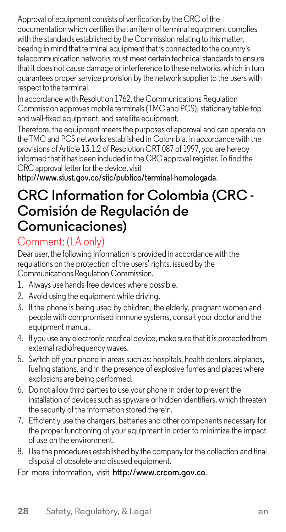Approval of equipment consists of verification by the CRC ofthe documentation which certifies that an item of terminal equipment complies with the standards established by the Commission relating to this matter, bearing in mind that terminal equipment that is connected to the country's telecommunication networks must meet certain technical standards to ensure that it does not cause damage or interference to these networks, which in turn guarantees proper service provision by the network supplierto the users with respect to the terminal.

In accordance with Resolution 1762, the Communications Regulation Commission approves mobile terminals (TMC and PCS), stationary table-top and wall-fixed equipment, and satellite equipment.

Therefore, the equipment meetsthe purposes of approval and can operate on theTMC and PCS networks established in Colombia. In accordance with the provisions ofArticle 13.1.2 of Resolution CRT 087 of 1997, you are hereby informed that it has been included in the CRC approval register. To find the CRC approval letter for the device, visit

**<http://www.siust.gov.co/siic/publico/terminal-homologada>**.

# **CRC Information for Colombia (CRC - Comisión de Regulación de Comunicaciones)**

#### Comment: (LA only)

Dear user, the following information is provided in accordance with the regulations on the protection of the users' rights, issued by the Communications Regulation Commission.

- 1. Always use hands-free devices where possible.
- 2. Avoid using the equipment while driving.
- 3. If the phone is being used by children, the elderly, pregnant women and people with compromised immune systems, consult your doctor and the equipment manual.
- 4. If you use any electronic medical device, make sure that it is protected from external radiofrequency waves.
- 5. Switch off your phone in areas such as: hospitals, health centers, airplanes, fueling stations, and in the presence of explosive fumes and places where explosions are being performed.
- 6. Do not allow third parties to use your phone in order to prevent the installation of devices such as spyware or hidden identifiers, which threaten the security of the information stored therein.
- 7. Efficiently use the chargers, batteries and other components necessary for the proper functioning of your equipment in order to minimize the impact of use on the environment.
- 8. Use the procedures established by the company for the collection and final disposal of obsolete and disused equipment.

For more information, visit **[http://www.crcom.gov.co](http://www.crcom.gov.co/)**.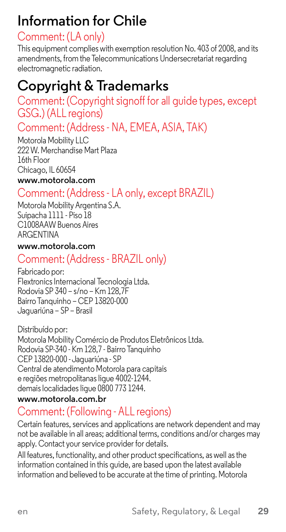# **Information for Chile**

#### Comment: (LA only)

This equipment complies with exemption resolution No. 403 of 2008, and its amendments, from the Telecommunications Undersecretariat regarding electromagnetic radiation.

# **Copyright & Trademarks**

#### Comment: (Copyright signoff for all guide types, except GSG.) (ALL regions)

# Comment: (Address - NA, EMEA, ASIA, TAK)

Motorola Mobility LLC 222W. Merchandise Mart Plaza 16th Floor Chicago, IL 60654

#### **[www.motorola.com](http://www.motorola.com/)**

#### Comment: (Address - LA only, except BRAZIL)

Motorola Mobility Argentina S.A. Suipacha 1111 - Piso 18 C1008AAW Buenos Aires ARGENTINA

#### **[www.motorola.com](http://www.motorola.com/)**

#### Comment: (Address - BRAZIL only)

Fabricado por: Flextronics Internacional Tecnologia Ltda. Rodovia SP 340 – s/no – Km 128,7F Bairro Tanquinho – CEP 13820-000 Jaguariúna – SP – Brasil

Distribuído por: Motorola Mobility Comércio de Produtos Eletrônicos Ltda. Rodovia SP-340 - Km 128,7 - Bairro Tanquinho CEP 13820-000 -Jaguariúna - SP Central de atendimento Motorola para capitais e regiões metropolitanas ligue 4002-1244. demaislocalidades ligue 0800 773 1244.

#### **[www.motorola.com.br](http://www.motorola.com.br/)**

### Comment: (Following - ALL regions)

Certain features, services and applications are network dependent and may not be available in all areas; additional terms, conditions and/or charges may apply. Contact your service provider for details.

All features, functionality, and other product specifications, as well as the information contained in this guide, are based upon the latest available information and believed to be accurate at the time of printing. Motorola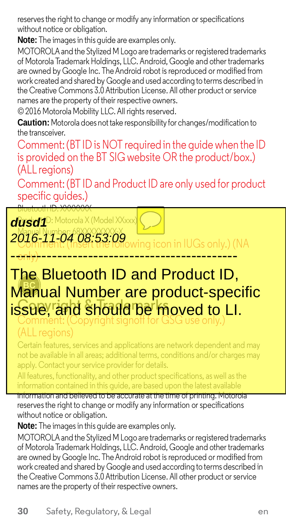reservesthe right to change or modify any information or specifications without notice or obligation.

**Note:** The imagesin this guide are examples only.

MOTOROLAand the Stylized M Logo are trademarks or registered trademarks of Motorola TrademarkHoldings, LLC. Android, Google and other trademarks are owned by Google Inc. The Android robot is reproduced or modified from work created and shared by Google and used according to terms described in the Creative Commons 3.0 Attribution License. All other product or service names are the property of their respective owners.

© 2016 Motorola Mobility LLC. All rights reserved.

**Caution:** Motorola doesnot take responsibility for changes/modification to the transceiver.

Comment:(BT IDis NOT required in the guide when the ID is provided on the BT SIG website OR the product/box.) (ALL regions)

Comment: (BT ID and Product ID are only used for product specific quides.)



## **ISSUE TRADE SHould be moved to LI.** Comment: (Copyright signoff for GSG use only.) The Bluetooth ID and Product ID, Manual Number are product-specific

Certain features, services and applications are network dependent and may not be available in all areas; additional terms, conditions and/or charges may apply. Contact your service provider for details.

All features, functionality, and other product specifications, as well as the information contained in this guide, are based upon the latest available

information and believed to be accurate at the time of printing. Motorola reserves the right to change or modify any information or specifications without notice or obligation.

**Note:** The images in this guide are examples only.

MOTOROLAand the Stylized M Logo are trademarks or registered trademarks of Motorola TrademarkHoldings, LLC. Android, Google and other trademarks are owned by Google Inc. The Android robot is reproduced or modified from work created and shared by Google and used according to terms described in the Creative Commons 3.0 Attribution License. All other product or service names are the property of their respective owners.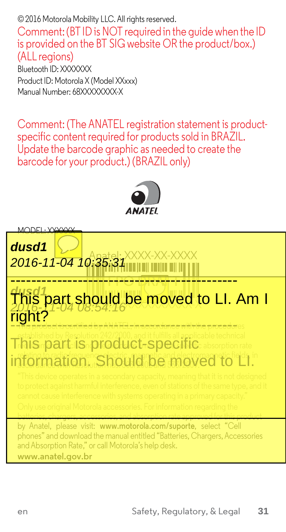© 2016 Motorola Mobility LLC. All rights reserved.

Comment:(BT IDis NOT required in the guide when the ID is provided on the BT SIG website OR the product/box.) (ALL regions) Bluetooth ID: XXXXXXX Product ID: Motorola X (Model XXxxx) Manual Number: 68XXXXXXXX-X

Comment: (The ANATEL registration statement is product specific content required for products sold in BRAZIL. Update the barcode graphic as needed to create the barcode for your product.) (BRAZIL only)



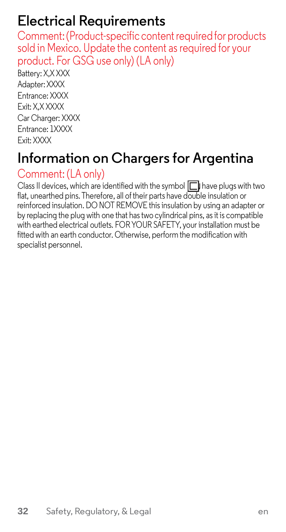# **Electrical Requirements**

Comment:(Product-specific content requiredfor products sold in Mexico. Update the content as required for your product. For GSG use only) (LA only)

Battery: X,X XXX Adapter: XXXX Entrance: XXXX Exit: X,X XXXX Car Charger: XXXX Entrance: 1XXXX Exit: XXXX

# **Information on Chargers for Argentina**

#### Comment: (LA only)

Class II devices, which are identified with the symbol  $\Box$  have plugs with two flat, unearthed pins. Therefore, all of their parts have double insulation or reinforced insulation. DO NOT REMOVE thisinsulation by using an adapter or by replacing the plug with one that hastwo cylindrical pins, as it is compatible with earthed electrical outlets. FORYOUR SAFETY, your installation must be fitted with an earth conductor. Otherwise, perform the modification with specialist personnel.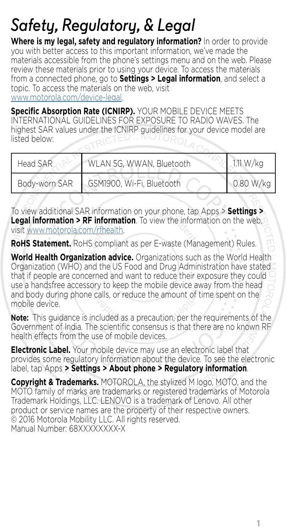# *Safety, Regulatory, & Legal*

**Where is my legal, safety and regulatory information?** In order to provide you with better access to this important information, we've made the materials accessible from the phone's settings menu and on the web. Please review these materials prior to using your device. To access the materials from a connected phone, go to **Settings > Legal information**, and select a topic. To access the materials on the web, visit [www.motorola.com/device-legal.](http://www.motorola.com/device-legal)

**Specific Absorption Rate (ICNIRP).** YOUR MOBILE DEVICE MEETS INTERNATIONAL GUIDELINES FOR EXPOSURE TO RADIO WAVES. The highest SAR values under the ICNIRP guidelines for your device model are listed below:

| Head SAR      | WLAN 5G, WWAN, Bluetooth  | 111 W/kg  |
|---------------|---------------------------|-----------|
| Body-worn SAR | GSM1900, Wi-Fi, Bluetooth | 0.80 W/kg |

To view additional SAR information on your phone, tap Apps > **Settings > Legal information > RF information**. To view the information on the web, visit [www.motorola.com/rfhealth](http://www.motorola.com/rfhealth).

**RoHS Statement.** RoHS compliant as per E-waste (Management) Rules.

**World Health Organization advice.** Organizations such as the World Health Organization (WHO) and the US Food and Drug Administration have stated that if people are concerned and want to reduce their exposure they could use a handsfree accessory to keep the mobile device away from the head and body during phone calls, or reduce the amount of time spent on the mobile device.

**Note:** This guidance is included as a precaution, per the requirements of the Government of India. The scientific consensus is that there are no known RF health effects from the use of mobile devices.

**Electronic Label.** Your mobile device may use an electronic label that provides some regulatory information about the device. To see the electronic label, tap Apps **> Settings > About phone > Regulatory information**.

**Copyright & Trademarks.** MOTOROLA, the stylized M logo, MOTO, and the MOTO family of marks are trademarks or registered trademarks of Motorola Trademark Holdings, LLC. LENOVO is a trademark of Lenovo. All other product or service names are the property of their respective owners. © 2016 Motorola Mobility LLC. All rights reserved. Manual Number: 68XXXXXXXX-X